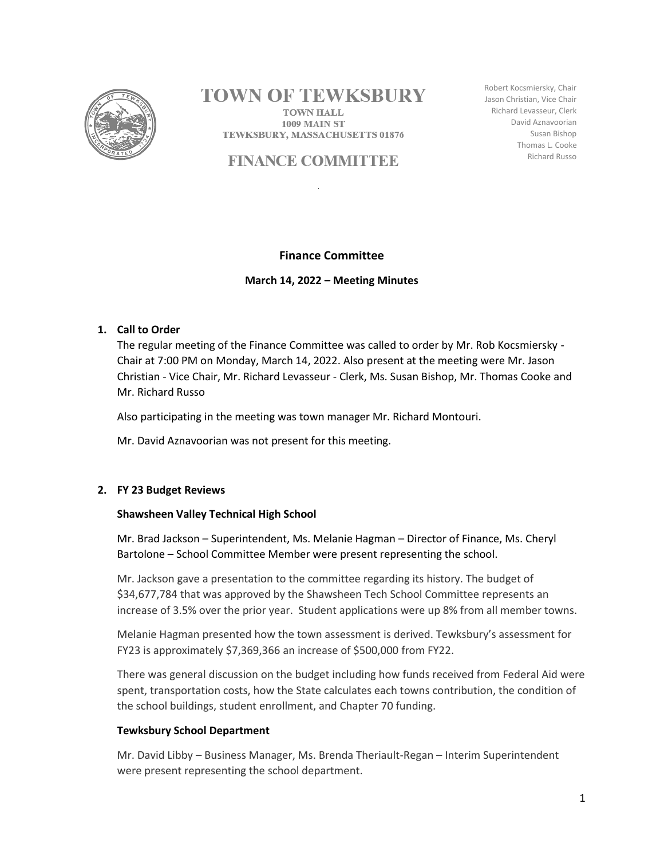

# **TOWN OF TEWKSBURY**

**TOWN HALL 1009 MAIN ST** TEWKSBURY, MASSACHUSETTS 01876

# **FINANCE COMMITTEE**

Robert Kocsmiersky, Chair Jason Christian, Vice Chair Richard Levasseur, Clerk David Aznavoorian Susan Bishop Thomas L. Cooke Richard Russo

# **Finance Committee**

**March 14, 2022 – Meeting Minutes**

# **1. Call to Order**

The regular meeting of the Finance Committee was called to order by Mr. Rob Kocsmiersky - Chair at 7:00 PM on Monday, March 14, 2022. Also present at the meeting were Mr. Jason Christian - Vice Chair, Mr. Richard Levasseur - Clerk, Ms. Susan Bishop, Mr. Thomas Cooke and Mr. Richard Russo

Also participating in the meeting was town manager Mr. Richard Montouri.

Mr. David Aznavoorian was not present for this meeting.

# **2. FY 23 Budget Reviews**

# **Shawsheen Valley Technical High School**

Mr. Brad Jackson – Superintendent, Ms. Melanie Hagman – Director of Finance, Ms. Cheryl Bartolone – School Committee Member were present representing the school.

Mr. Jackson gave a presentation to the committee regarding its history. The budget of \$34,677,784 that was approved by the Shawsheen Tech School Committee represents an increase of 3.5% over the prior year. Student applications were up 8% from all member towns.

Melanie Hagman presented how the town assessment is derived. Tewksbury's assessment for FY23 is approximately \$7,369,366 an increase of \$500,000 from FY22.

There was general discussion on the budget including how funds received from Federal Aid were spent, transportation costs, how the State calculates each towns contribution, the condition of the school buildings, student enrollment, and Chapter 70 funding.

# **Tewksbury School Department**

Mr. David Libby – Business Manager, Ms. Brenda Theriault-Regan – Interim Superintendent were present representing the school department.